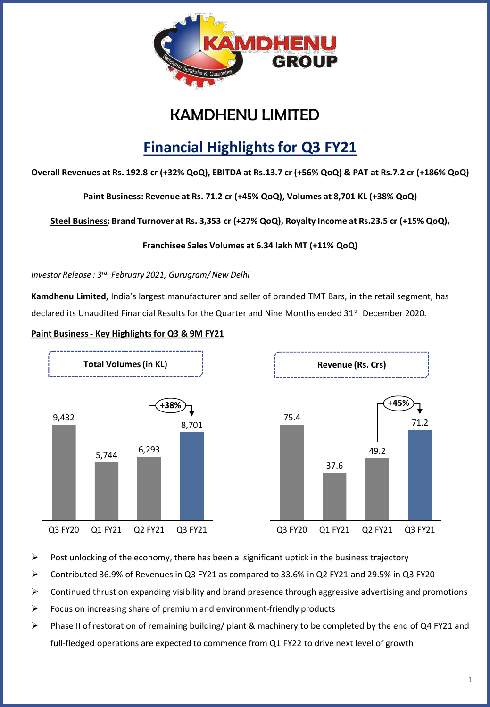

## KAMDHENU LIMITED

# **Financial Highlights for Q3 FY21**

**Overall Revenues at Rs. 192.8 cr (+32% QoQ), EBITDA at Rs.13.7 cr (+56% QoQ) & PAT at Rs.7.2 cr (+186% QoQ)** 

**Paint Business: Revenue at Rs. 71.2 cr (+45% QoQ), Volumes at 8,701 KL (+38% QoQ)** 

**Steel Business: Brand Turnover at Rs. 3,353 cr (+27% QoQ), Royalty Income at Rs.23.5 cr (+15% QoQ),**

**Franchisee Sales Volumes at 6.34 lakh MT (+11% QoQ)**

*Investor Release : 3 rd February 2021, Gurugram/New Delhi*

**Kamdhenu Limited,** India's largest manufacturer and seller of branded TMT Bars, in the retail segment, has declared its Unaudited Financial Results for the Quarter and Nine Months ended 31<sup>st</sup> December 2020.

#### **Paint Business - Key Highlights for Q3 & 9M FY21**



- $\triangleright$  Post unlocking of the economy, there has been a significant uptick in the business trajectory
- ➢ Contributed 36.9% of Revenues in Q3 FY21 as compared to 33.6% in Q2 FY21 and 29.5% in Q3 FY20
- $\triangleright$  Continued thrust on expanding visibility and brand presence through aggressive advertising and promotions
- ➢ Focus on increasing share of premium and environment-friendly products
- ➢ Phase II of restoration of remaining building/ plant & machinery to be completed by the end of Q4 FY21 and full-fledged operations are expected to commence from Q1 FY22 to drive next level of growth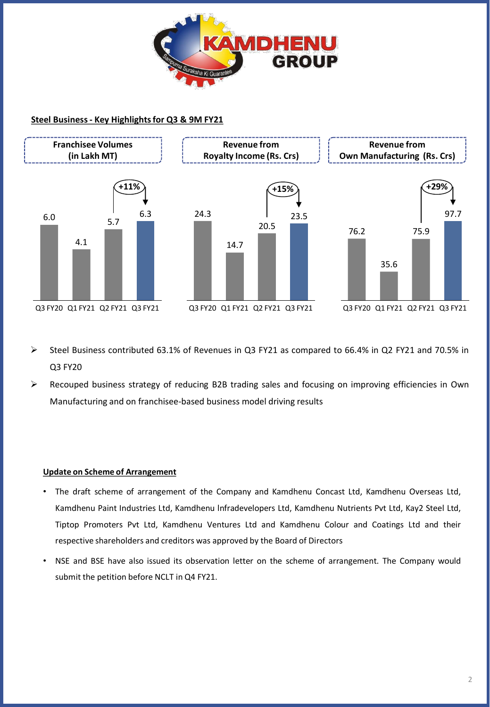

#### **Steel Business - Key Highlights for Q3 & 9M FY21**



- ➢ Steel Business contributed 63.1% of Revenues in Q3 FY21 as compared to 66.4% in Q2 FY21 and 70.5% in Q3 FY20
- $\triangleright$  Recouped business strategy of reducing B2B trading sales and focusing on improving efficiencies in Own Manufacturing and on franchisee-based business model driving results

#### **Update on Scheme of Arrangement**

- The draft scheme of arrangement of the Company and Kamdhenu Concast Ltd, Kamdhenu Overseas Ltd, Kamdhenu Paint Industries Ltd, Kamdhenu lnfradevelopers Ltd, Kamdhenu Nutrients Pvt Ltd, Kay2 Steel Ltd, Tiptop Promoters Pvt Ltd, Kamdhenu Ventures Ltd and Kamdhenu Colour and Coatings Ltd and their respective shareholders and creditors was approved by the Board of Directors
- NSE and BSE have also issued its observation letter on the scheme of arrangement. The Company would submit the petition before NCLT in Q4 FY21.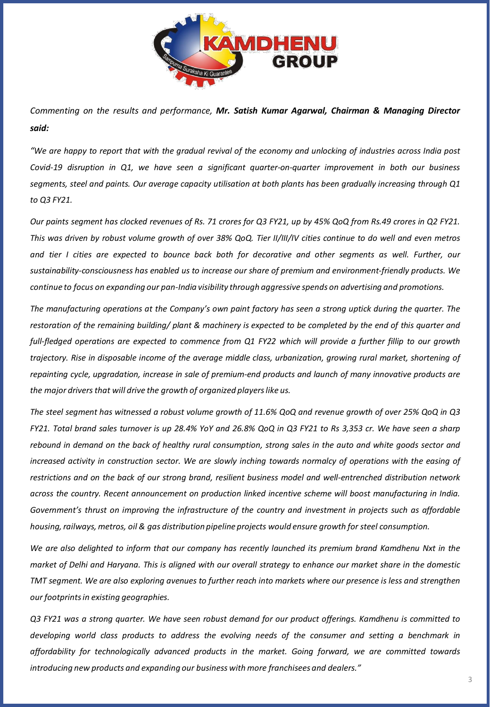

*Commenting on the results and performance, Mr. Satish Kumar Agarwal, Chairman & Managing Director said:*

"We are happy to report that with the gradual revival of the economy and unlocking of industries across India post *Covid-19 disruption in Q1, we have seen a significant quarter-on-quarter improvement in both our business* segments, steel and paints. Our average capacity utilisation at both plants has been gradually increasing through Q1 *to Q3 FY21.*

Our paints segment has clocked revenues of Rs. 71 crores for Q3 FY21, up by 45% QoQ from Rs.49 crores in Q2 FY21. This was driven by robust volume growth of over 38% QoQ. Tier II/III/IV cities continue to do well and even metros and tier I cities are expected to bounce back both for decorative and other segments as well. Further, our *sustainability-consciousness has enabled us to increase our share of premium and environment-friendly products. We continue to focus on expanding our pan-India visibility through aggressive spends on advertising and promotions.*

The manufacturing operations at the Company's own paint factory has seen a strong uptick during the quarter. The restoration of the remaining building/plant & machinery is expected to be completed by the end of this quarter and full-fledged operations are expected to commence from Q1 FY22 which will provide a further fillip to our growth trajectory. Rise in disposable income of the average middle class, urbanization, growing rural market, shortening of repainting cycle, upgradation, increase in sale of premium-end products and launch of many innovative products are *the major driversthat will drive the growth of organized playerslike us.*

The steel segment has witnessed a robust volume growth of 11.6% QoQ and revenue growth of over 25% QoQ in Q3 FY21. Total brand sales turnover is up 28.4% YoY and 26.8% QoQ in Q3 FY21 to Rs 3,353 cr. We have seen a sharp rebound in demand on the back of healthy rural consumption, strong sales in the auto and white goods sector and increased activity in construction sector. We are slowly inching towards normalcy of operations with the easing of restrictions and on the back of our strong brand, resilient business model and well-entrenched distribution network *across the country. Recent announcement on production linked incentive scheme will boost manufacturing in India. Government's thrust on improving the infrastructure of the country and investment in projects such as affordable housing,railways, metros, oil & gas distribution pipeline projects would ensure growth for steel consumption.*

We are also delighted to inform that our company has recently launched its premium brand Kamdhenu Nxt in the market of Delhi and Haryana. This is aligned with our overall strategy to enhance our market share in the domestic TMT segment. We are also exploring avenues to further reach into markets where our presence is less and strengthen *our footprintsin existing geographies.*

Q3 FY21 was a strong quarter. We have seen robust demand for our product offerings. Kamdhenu is committed to *developing world class products to address the evolving needs of the consumer and setting a benchmark in affordability for technologically advanced products in the market. Going forward, we are committed towards introducing new products and expanding our business with more franchisees and dealers."*